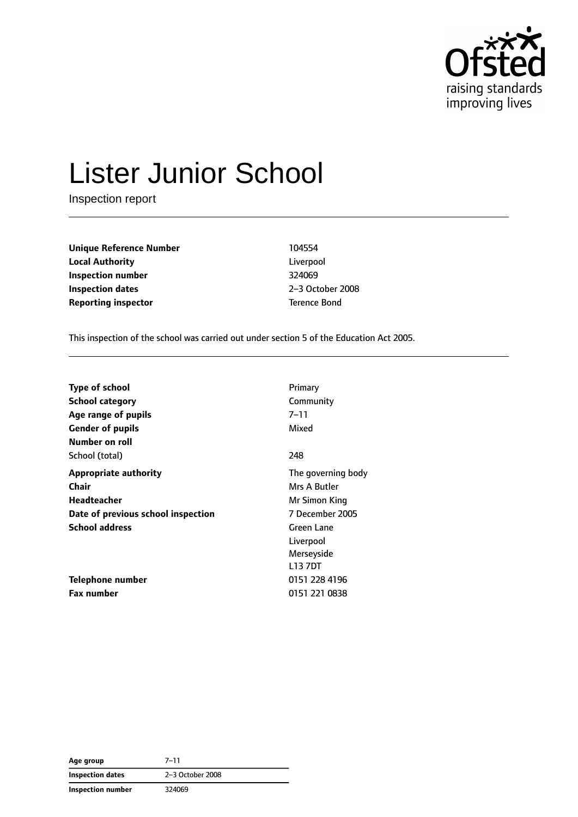

# Lister Junior School

Inspection report

**Unique Reference Number** 104554 **Local Authority** Liverpool **Inspection number** 324069 **Inspection dates** 2–3 October 2008 **Reporting inspector** Terence Bond

This inspection of the school was carried out under section 5 of the Education Act 2005.

| <b>Type of school</b>              | Primary            |
|------------------------------------|--------------------|
| School category                    | Community          |
| Age range of pupils                | 7–11               |
| <b>Gender of pupils</b>            | Mixed              |
| Number on roll                     |                    |
| School (total)                     | 248                |
| <b>Appropriate authority</b>       | The governing body |
| Chair                              | Mrs A Butler       |
| Headteacher                        | Mr Simon King      |
| Date of previous school inspection | 7 December 2005    |
| <b>School address</b>              | Green Lane         |
|                                    | Liverpool          |
|                                    | Merseyside         |
|                                    | L13 7DT            |
| <b>Telephone number</b>            | 0151 228 4196      |
| <b>Fax number</b>                  | 0151 221 0838      |

| Age group         | $7 - 11$         |
|-------------------|------------------|
| Inspection dates  | 2-3 October 2008 |
| Inspection number | 324069           |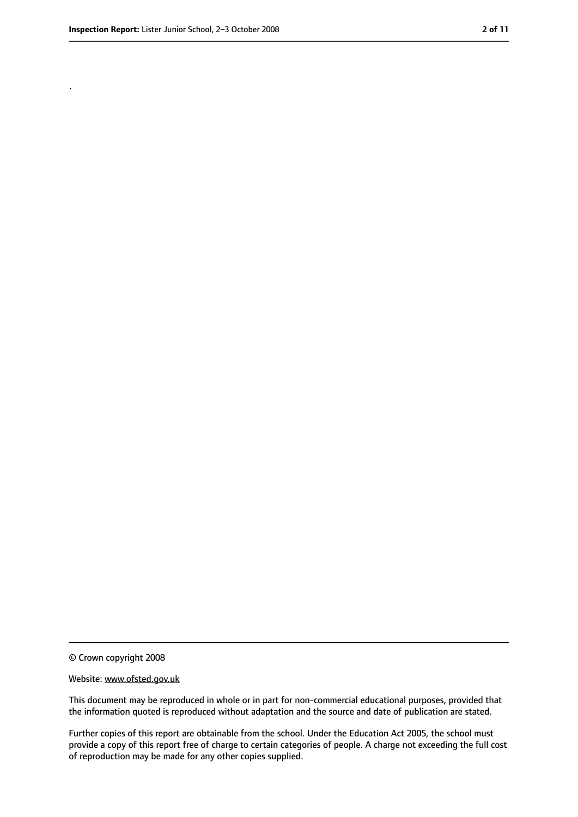.

<sup>©</sup> Crown copyright 2008

Website: www.ofsted.gov.uk

This document may be reproduced in whole or in part for non-commercial educational purposes, provided that the information quoted is reproduced without adaptation and the source and date of publication are stated.

Further copies of this report are obtainable from the school. Under the Education Act 2005, the school must provide a copy of this report free of charge to certain categories of people. A charge not exceeding the full cost of reproduction may be made for any other copies supplied.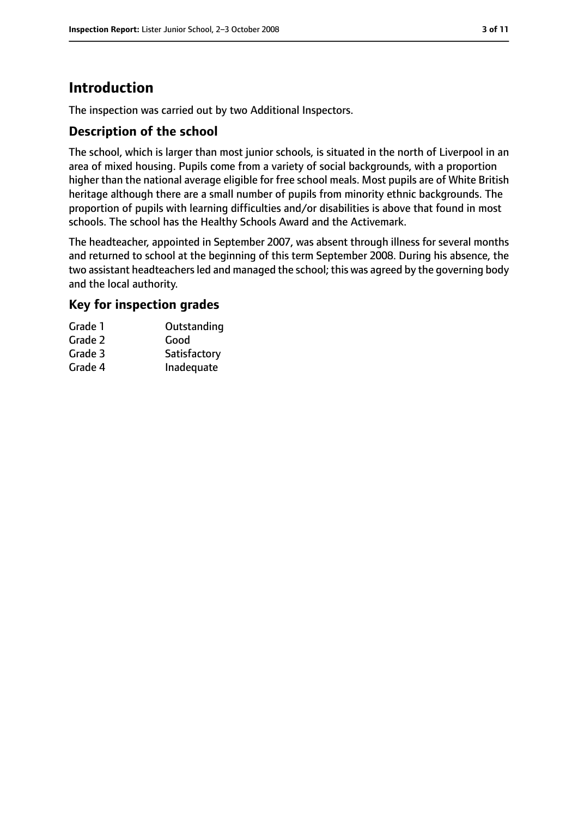# **Introduction**

The inspection was carried out by two Additional Inspectors.

## **Description of the school**

The school, which is larger than most junior schools, is situated in the north of Liverpool in an area of mixed housing. Pupils come from a variety of social backgrounds, with a proportion higher than the national average eligible for free school meals. Most pupils are of White British heritage although there are a small number of pupils from minority ethnic backgrounds. The proportion of pupils with learning difficulties and/or disabilities is above that found in most schools. The school has the Healthy Schools Award and the Activemark.

The headteacher, appointed in September 2007, was absent through illness for several months and returned to school at the beginning of this term September 2008. During his absence, the two assistant headteachers led and managed the school; this was agreed by the governing body and the local authority.

## **Key for inspection grades**

| Grade 1 | Outstanding  |
|---------|--------------|
| Grade 2 | Good         |
| Grade 3 | Satisfactory |
| Grade 4 | Inadequate   |
|         |              |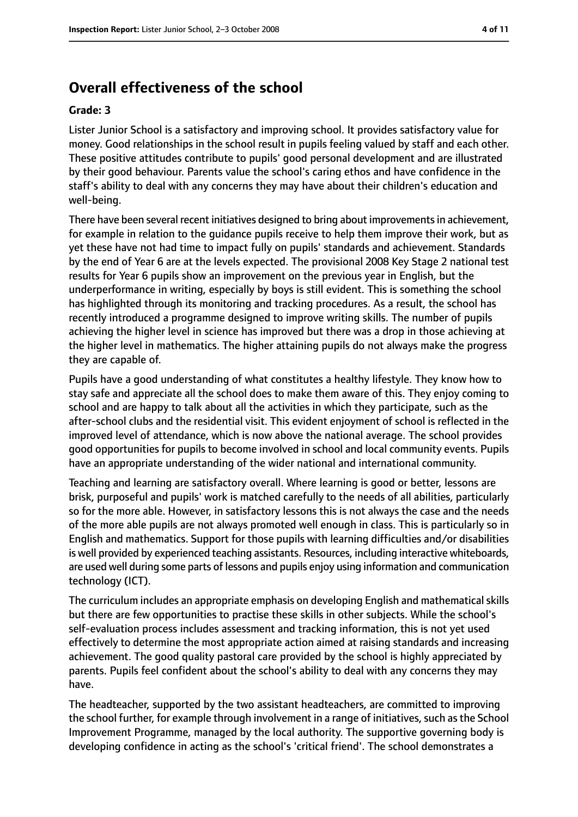# **Overall effectiveness of the school**

#### **Grade: 3**

Lister Junior School is a satisfactory and improving school. It provides satisfactory value for money. Good relationships in the school result in pupils feeling valued by staff and each other. These positive attitudes contribute to pupils' good personal development and are illustrated by their good behaviour. Parents value the school's caring ethos and have confidence in the staff's ability to deal with any concerns they may have about their children's education and well-being.

There have been several recent initiatives designed to bring about improvements in achievement, for example in relation to the guidance pupils receive to help them improve their work, but as yet these have not had time to impact fully on pupils' standards and achievement. Standards by the end of Year 6 are at the levels expected. The provisional 2008 Key Stage 2 national test results for Year 6 pupils show an improvement on the previous year in English, but the underperformance in writing, especially by boys is still evident. This is something the school has highlighted through its monitoring and tracking procedures. As a result, the school has recently introduced a programme designed to improve writing skills. The number of pupils achieving the higher level in science has improved but there was a drop in those achieving at the higher level in mathematics. The higher attaining pupils do not always make the progress they are capable of.

Pupils have a good understanding of what constitutes a healthy lifestyle. They know how to stay safe and appreciate all the school does to make them aware of this. They enjoy coming to school and are happy to talk about all the activities in which they participate, such as the after-school clubs and the residential visit. This evident enjoyment of school is reflected in the improved level of attendance, which is now above the national average. The school provides good opportunities for pupils to become involved in school and local community events. Pupils have an appropriate understanding of the wider national and international community.

Teaching and learning are satisfactory overall. Where learning is good or better, lessons are brisk, purposeful and pupils' work is matched carefully to the needs of all abilities, particularly so for the more able. However, in satisfactory lessons this is not always the case and the needs of the more able pupils are not always promoted well enough in class. This is particularly so in English and mathematics. Support for those pupils with learning difficulties and/or disabilities is well provided by experienced teaching assistants. Resources, including interactive whiteboards, are used well during some parts of lessons and pupils enjoy using information and communication technology (ICT).

The curriculum includes an appropriate emphasis on developing English and mathematical skills but there are few opportunities to practise these skills in other subjects. While the school's self-evaluation process includes assessment and tracking information, this is not yet used effectively to determine the most appropriate action aimed at raising standards and increasing achievement. The good quality pastoral care provided by the school is highly appreciated by parents. Pupils feel confident about the school's ability to deal with any concerns they may have.

The headteacher, supported by the two assistant headteachers, are committed to improving the school further, for example through involvement in a range of initiatives, such as the School Improvement Programme, managed by the local authority. The supportive governing body is developing confidence in acting as the school's 'critical friend'. The school demonstrates a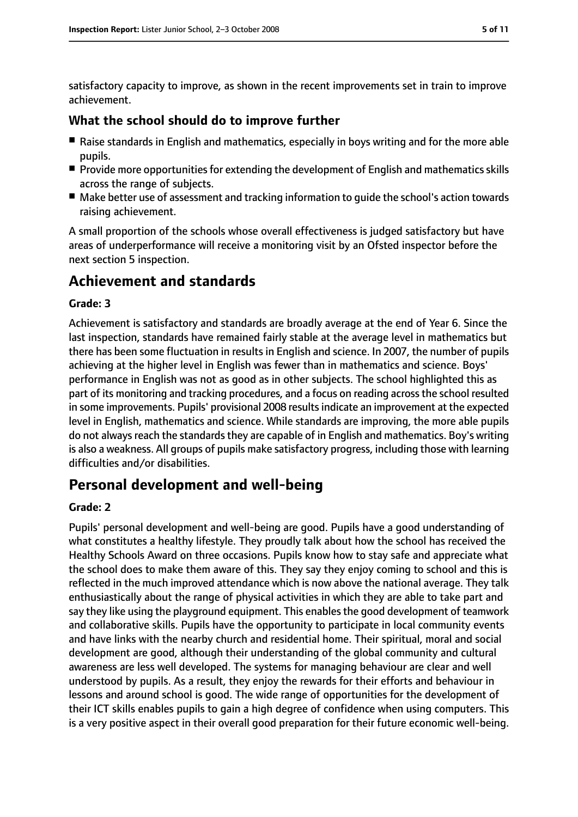satisfactory capacity to improve, as shown in the recent improvements set in train to improve achievement.

### **What the school should do to improve further**

- Raise standards in English and mathematics, especially in boys writing and for the more able pupils.
- Provide more opportunities for extending the development of English and mathematics skills across the range of subjects.
- Make better use of assessment and tracking information to quide the school's action towards raising achievement.

A small proportion of the schools whose overall effectiveness is judged satisfactory but have areas of underperformance will receive a monitoring visit by an Ofsted inspector before the next section 5 inspection.

# **Achievement and standards**

#### **Grade: 3**

Achievement is satisfactory and standards are broadly average at the end of Year 6. Since the last inspection, standards have remained fairly stable at the average level in mathematics but there has been some fluctuation in results in English and science. In 2007, the number of pupils achieving at the higher level in English was fewer than in mathematics and science. Boys' performance in English was not as good as in other subjects. The school highlighted this as part of its monitoring and tracking procedures, and a focus on reading acrossthe school resulted in some improvements. Pupils' provisional 2008 resultsindicate an improvement at the expected level in English, mathematics and science. While standards are improving, the more able pupils do not always reach the standards they are capable of in English and mathematics. Boy's writing is also a weakness. All groups of pupils make satisfactory progress, including those with learning difficulties and/or disabilities.

# **Personal development and well-being**

#### **Grade: 2**

Pupils' personal development and well-being are good. Pupils have a good understanding of what constitutes a healthy lifestyle. They proudly talk about how the school has received the Healthy Schools Award on three occasions. Pupils know how to stay safe and appreciate what the school does to make them aware of this. They say they enjoy coming to school and this is reflected in the much improved attendance which is now above the national average. They talk enthusiastically about the range of physical activities in which they are able to take part and say they like using the playground equipment. This enables the good development of teamwork and collaborative skills. Pupils have the opportunity to participate in local community events and have links with the nearby church and residential home. Their spiritual, moral and social development are good, although their understanding of the global community and cultural awareness are less well developed. The systems for managing behaviour are clear and well understood by pupils. As a result, they enjoy the rewards for their efforts and behaviour in lessons and around school is good. The wide range of opportunities for the development of their ICT skills enables pupils to gain a high degree of confidence when using computers. This is a very positive aspect in their overall good preparation for their future economic well-being.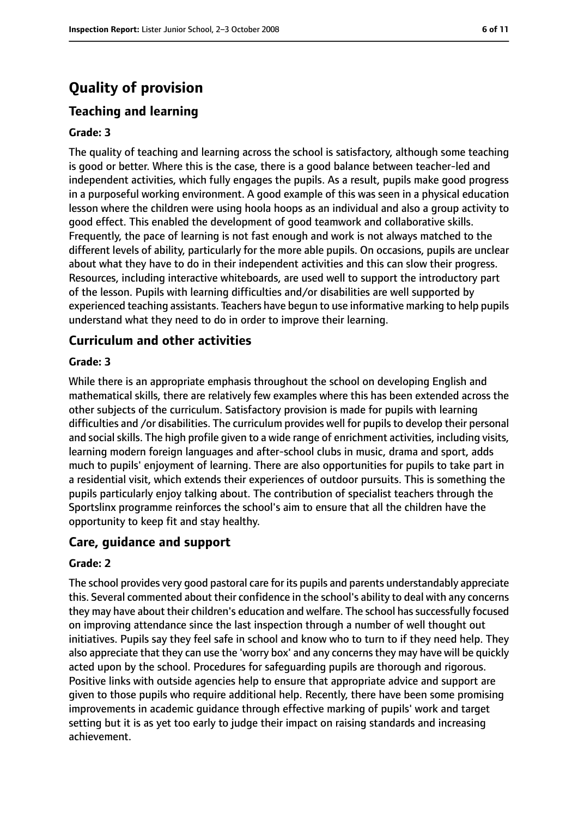# **Quality of provision**

# **Teaching and learning**

#### **Grade: 3**

The quality of teaching and learning across the school is satisfactory, although some teaching is good or better. Where this is the case, there is a good balance between teacher-led and independent activities, which fully engages the pupils. As a result, pupils make good progress in a purposeful working environment. A good example of this was seen in a physical education lesson where the children were using hoola hoops as an individual and also a group activity to good effect. This enabled the development of good teamwork and collaborative skills. Frequently, the pace of learning is not fast enough and work is not always matched to the different levels of ability, particularly for the more able pupils. On occasions, pupils are unclear about what they have to do in their independent activities and this can slow their progress. Resources, including interactive whiteboards, are used well to support the introductory part of the lesson. Pupils with learning difficulties and/or disabilities are well supported by experienced teaching assistants. Teachers have begun to use informative marking to help pupils understand what they need to do in order to improve their learning.

#### **Curriculum and other activities**

#### **Grade: 3**

While there is an appropriate emphasis throughout the school on developing English and mathematical skills, there are relatively few examples where this has been extended across the other subjects of the curriculum. Satisfactory provision is made for pupils with learning difficulties and /or disabilities. The curriculum provides well for pupils to develop their personal and social skills. The high profile given to a wide range of enrichment activities, including visits, learning modern foreign languages and after-school clubs in music, drama and sport, adds much to pupils' enjoyment of learning. There are also opportunities for pupils to take part in a residential visit, which extends their experiences of outdoor pursuits. This is something the pupils particularly enjoy talking about. The contribution of specialist teachers through the Sportslinx programme reinforces the school's aim to ensure that all the children have the opportunity to keep fit and stay healthy.

## **Care, guidance and support**

#### **Grade: 2**

The school provides very good pastoral care for its pupils and parents understandably appreciate this. Several commented about their confidence in the school's ability to deal with any concerns they may have about their children's education and welfare. The school has successfully focused on improving attendance since the last inspection through a number of well thought out initiatives. Pupils say they feel safe in school and know who to turn to if they need help. They also appreciate that they can use the 'worry box' and any concernsthey may have will be quickly acted upon by the school. Procedures for safeguarding pupils are thorough and rigorous. Positive links with outside agencies help to ensure that appropriate advice and support are given to those pupils who require additional help. Recently, there have been some promising improvements in academic guidance through effective marking of pupils' work and target setting but it is as yet too early to judge their impact on raising standards and increasing achievement.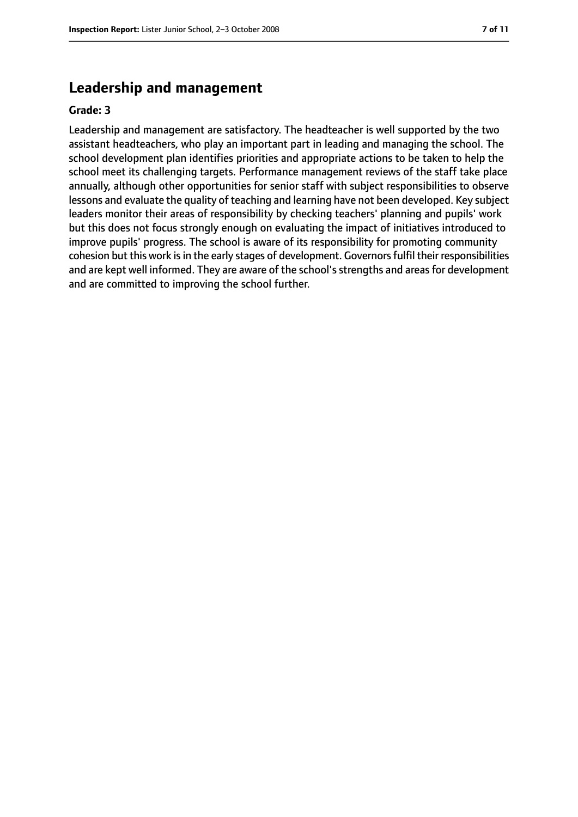# **Leadership and management**

#### **Grade: 3**

Leadership and management are satisfactory. The headteacher is well supported by the two assistant headteachers, who play an important part in leading and managing the school. The school development plan identifies priorities and appropriate actions to be taken to help the school meet its challenging targets. Performance management reviews of the staff take place annually, although other opportunities for senior staff with subject responsibilities to observe lessons and evaluate the quality of teaching and learning have not been developed. Key subject leaders monitor their areas of responsibility by checking teachers' planning and pupils' work but this does not focus strongly enough on evaluating the impact of initiatives introduced to improve pupils' progress. The school is aware of its responsibility for promoting community cohesion but this work is in the early stages of development. Governors fulfil their responsibilities and are kept well informed. They are aware of the school's strengths and areas for development and are committed to improving the school further.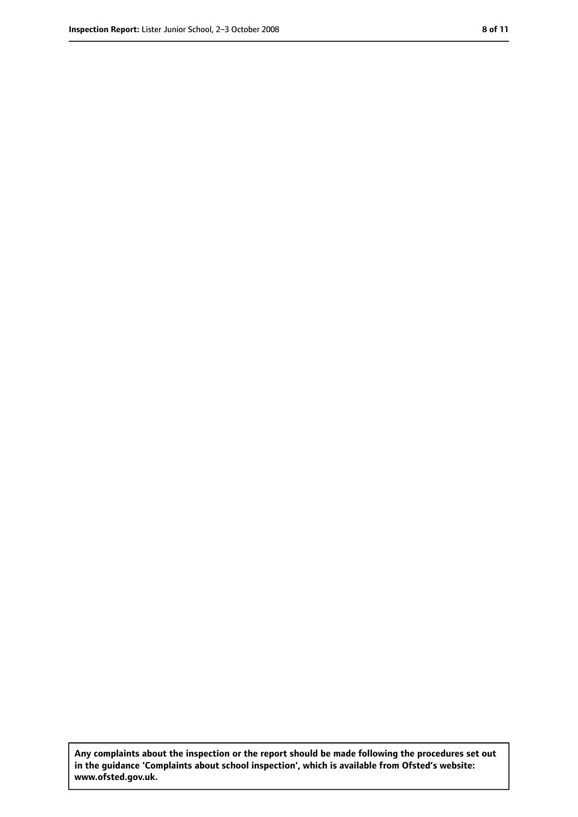**Any complaints about the inspection or the report should be made following the procedures set out in the guidance 'Complaints about school inspection', which is available from Ofsted's website: www.ofsted.gov.uk.**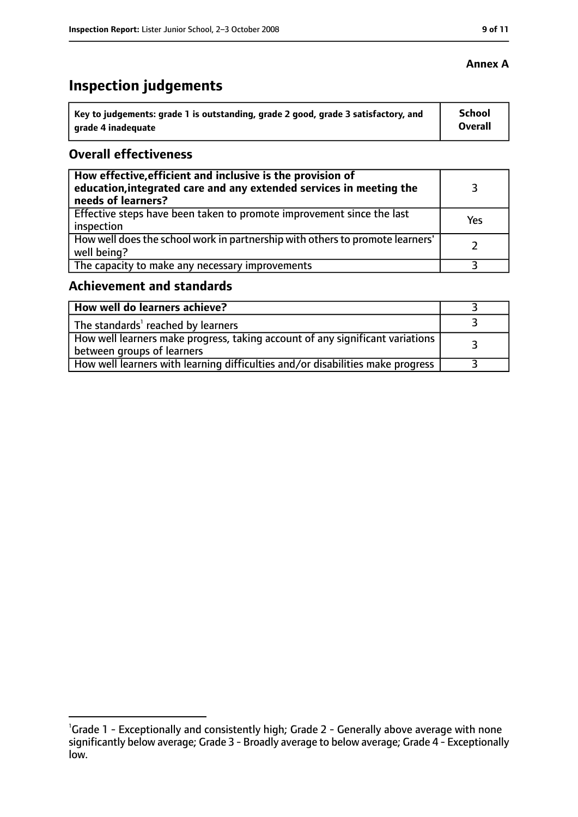# **Inspection judgements**

| ˈ Key to judgements: grade 1 is outstanding, grade 2 good, grade 3 satisfactory, and | <b>School</b>  |
|--------------------------------------------------------------------------------------|----------------|
| arade 4 inadequate                                                                   | <b>Overall</b> |

## **Overall effectiveness**

| How effective, efficient and inclusive is the provision of<br>education, integrated care and any extended services in meeting the<br>needs of learners? |     |
|---------------------------------------------------------------------------------------------------------------------------------------------------------|-----|
| Effective steps have been taken to promote improvement since the last<br>inspection                                                                     | Yes |
| How well does the school work in partnership with others to promote learners'<br>well being?                                                            |     |
| The capacity to make any necessary improvements                                                                                                         |     |

# **Achievement and standards**

| How well do learners achieve?                                                                               |  |
|-------------------------------------------------------------------------------------------------------------|--|
| $\perp$ The standards <sup>1</sup> reached by learners                                                      |  |
| How well learners make progress, taking account of any significant variations<br>between groups of learners |  |
| How well learners with learning difficulties and/or disabilities make progress                              |  |

## **Annex A**

<sup>&</sup>lt;sup>1</sup>Grade 1 - Exceptionally and consistently high; Grade 2 - Generally above average with none significantly below average; Grade 3 - Broadly average to below average; Grade 4 - Exceptionally low.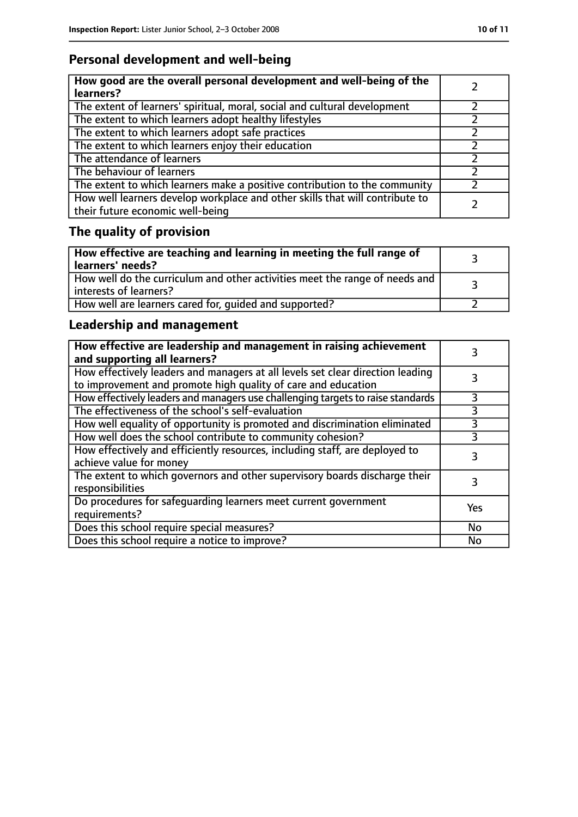# **Personal development and well-being**

| How good are the overall personal development and well-being of the<br>learners?                                 |  |
|------------------------------------------------------------------------------------------------------------------|--|
| The extent of learners' spiritual, moral, social and cultural development                                        |  |
| The extent to which learners adopt healthy lifestyles                                                            |  |
| The extent to which learners adopt safe practices                                                                |  |
| The extent to which learners enjoy their education                                                               |  |
| The attendance of learners                                                                                       |  |
| The behaviour of learners                                                                                        |  |
| The extent to which learners make a positive contribution to the community                                       |  |
| How well learners develop workplace and other skills that will contribute to<br>their future economic well-being |  |

# **The quality of provision**

| How effective are teaching and learning in meeting the full range of<br>learners' needs?              |  |
|-------------------------------------------------------------------------------------------------------|--|
| How well do the curriculum and other activities meet the range of needs and<br>interests of learners? |  |
| How well are learners cared for, quided and supported?                                                |  |

# **Leadership and management**

| How effective are leadership and management in raising achievement<br>and supporting all learners?                                              |           |
|-------------------------------------------------------------------------------------------------------------------------------------------------|-----------|
| How effectively leaders and managers at all levels set clear direction leading<br>to improvement and promote high quality of care and education |           |
| How effectively leaders and managers use challenging targets to raise standards                                                                 | 3         |
| The effectiveness of the school's self-evaluation                                                                                               | 3         |
| How well equality of opportunity is promoted and discrimination eliminated                                                                      |           |
| How well does the school contribute to community cohesion?                                                                                      | 3         |
| How effectively and efficiently resources, including staff, are deployed to<br>achieve value for money                                          | 3         |
| The extent to which governors and other supervisory boards discharge their<br>responsibilities                                                  | 3         |
| Do procedures for safequarding learners meet current government<br>requirements?                                                                | Yes       |
| Does this school require special measures?                                                                                                      | No        |
| Does this school require a notice to improve?                                                                                                   | <b>No</b> |